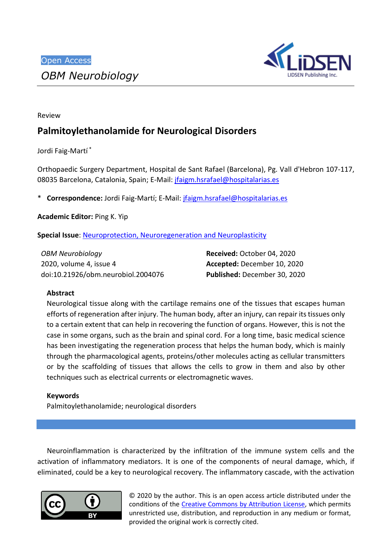

Review

# **Palmitoylethanolamide for Neurological Disorders**

Jordi Faig-Martí\*

Orthopaedic Surgery Department, Hospital de Sant Rafael (Barcelona), Pg. Vall d'Hebron 107-117, 08035 Barcelona, Catalonia, Spain; E-Mail: [jfaigm.hsrafael@hospitalarias.es](mailto:jfaigm.hsrafael@hospitalarias.es)

\* **Correspondence:** Jordi Faig-Martí; E-Mail: [jfaigm.hsrafael@hospitalarias.es](mailto:jfaigm.hsrafael@hospitalarias.es)

**Academic Editor:** Ping K. Yip

**Special Issue: [Neuroprotection, Neuroregeneration and Neuroplasticity](http://www.lidsen.com/journals/neurobiology/neurobiology-special-issues/neuroregen-neuroplast)** 

*OBM Neurobiology* 2020, volume 4, issue 4 doi:10.21926/obm.neurobiol.2004076 **Received:** October 04, 2020 **Accepted:** December 10, 2020 **Published:** December 30, 2020

# **Abstract**

Neurological tissue along with the cartilage remains one of the tissues that escapes human efforts of regeneration after injury. The human body, after an injury, can repair its tissues only to a certain extent that can help in recovering the function of organs. However, this is not the case in some organs, such as the brain and spinal cord. For a long time, basic medical science has been investigating the regeneration process that helps the human body, which is mainly through the pharmacological agents, proteins/other molecules acting as cellular transmitters or by the scaffolding of tissues that allows the cells to grow in them and also by other techniques such as electrical currents or electromagnetic waves.

# **Keywords**

Palmitoylethanolamide; neurological disorders

Neuroinflammation is characterized by the infiltration of the immune system cells and the activation of inflammatory mediators. It is one of the components of neural damage, which, if eliminated, could be a key to neurological recovery. The inflammatory cascade, with the activation



© 2020 by the author. This is an open access article distributed under the conditions of the [Creative Commons by Attribution License,](http://creativecommons.org/licenses/by/4.0/) which permits unrestricted use, distribution, and reproduction in any medium or format, provided the original work is correctly cited.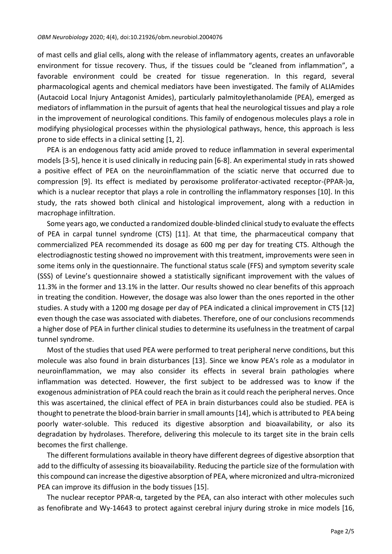of mast cells and glial cells, along with the release of inflammatory agents, creates an unfavorable environment for tissue recovery. Thus, if the tissues could be "cleaned from inflammation", a favorable environment could be created for tissue regeneration. In this regard, several pharmacological agents and chemical mediators have been investigated. The family of ALIAmides (Autacoid Local Injury Antagonist Amides), particularly palmitoylethanolamide (PEA), emerged as mediators of inflammation in the pursuit of agents that heal the neurological tissues and play a role in the improvement of neurological conditions. This family of endogenous molecules plays a role in modifying physiological processes within the physiological pathways, hence, this approach is less prone to side effects in a clinical setting [1, 2].

PEA is an endogenous fatty acid amide proved to reduce inflammation in several experimental models [3-5], hence it is used clinically in reducing pain [6-8]. An experimental study in rats showed a positive effect of PEA on the neuroinflammation of the sciatic nerve that occurred due to compression [9]. Its effect is mediated by peroxisome proliferator-activated receptor-(PPAR-)α, which is a nuclear receptor that plays a role in controlling the inflammatory responses [10]. In this study, the rats showed both clinical and histological improvement, along with a reduction in macrophage infiltration.

Some years ago, we conducted a randomized double-blinded clinical study to evaluate the effects of PEA in carpal tunnel syndrome (CTS) [11]. At that time, the pharmaceutical company that commercialized PEA recommended its dosage as 600 mg per day for treating CTS. Although the electrodiagnostic testing showed no improvement with this treatment, improvements were seen in some items only in the questionnaire. The functional status scale (FFS) and symptom severity scale (SSS) of Levine's questionnaire showed a statistically significant improvement with the values of 11.3% in the former and 13.1% in the latter. Our results showed no clear benefits of this approach in treating the condition. However, the dosage was also lower than the ones reported in the other studies. A study with a 1200 mg dosage per day of PEA indicated a clinical improvement in CTS [12] even though the case was associated with diabetes. Therefore, one of our conclusions recommends a higher dose of PEA in further clinical studies to determine its usefulness in the treatment of carpal tunnel syndrome.

Most of the studies that used PEA were performed to treat peripheral nerve conditions, but this molecule was also found in brain disturbances [13]. Since we know PEA's role as a modulator in neuroinflammation, we may also consider its effects in several brain pathologies where inflammation was detected. However, the first subject to be addressed was to know if the exogenous administration of PEA could reach the brain as it could reach the peripheral nerves. Once this was ascertained, the clinical effect of PEA in brain disturbances could also be studied. PEA is thought to penetrate the blood-brain barrier in small amounts [14], which is attributed to PEA being poorly water-soluble. This reduced its digestive absorption and bioavailability, or also its degradation by hydrolases. Therefore, delivering this molecule to its target site in the brain cells becomes the first challenge.

The different formulations available in theory have different degrees of digestive absorption that add to the difficulty of assessing its bioavailability. Reducing the particle size of the formulation with this compound can increase the digestive absorption of PEA, where micronized and ultra-micronized PEA can improve its diffusion in the body tissues [15].

The nuclear receptor PPAR-α, targeted by the PEA, can also interact with other molecules such as fenofibrate and Wy-14643 to protect against cerebral injury during stroke in mice models [16,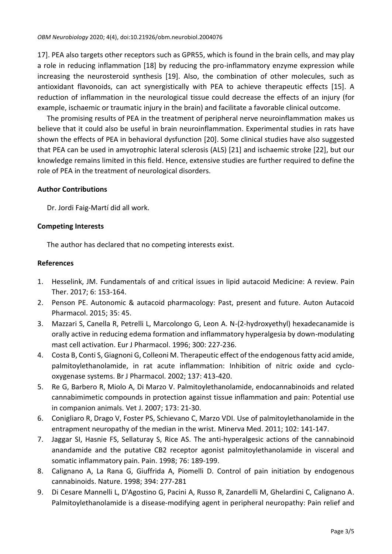17]. PEA also targets other receptors such as GPR55, which is found in the brain cells, and may play a role in reducing inflammation [18] by reducing the pro-inflammatory enzyme expression while increasing the neurosteroid synthesis [19]. Also, the combination of other molecules, such as antioxidant flavonoids, can act synergistically with PEA to achieve therapeutic effects [15]. A reduction of inflammation in the neurological tissue could decrease the effects of an injury (for example, ischaemic or traumatic injury in the brain) and facilitate a favorable clinical outcome.

The promising results of PEA in the treatment of peripheral nerve neuroinflammation makes us believe that it could also be useful in brain neuroinflammation. Experimental studies in rats have shown the effects of PEA in behavioral dysfunction [20]. Some clinical studies have also suggested that PEA can be used in amyotrophic lateral sclerosis (ALS) [21] and ischaemic stroke [22], but our knowledge remains limited in this field. Hence, extensive studies are further required to define the role of PEA in the treatment of neurological disorders.

### **Author Contributions**

Dr. Jordi Faig-Martí did all work.

### **Competing Interests**

The author has declared that no competing interests exist.

### **References**

- 1. Hesselink, JM. Fundamentals of and critical issues in lipid autacoid Medicine: A review. Pain Ther. 2017; 6: 153-164.
- 2. Penson PE. Autonomic & autacoid pharmacology: Past, present and future. Auton Autacoid Pharmacol. 2015; 35: 45.
- 3. Mazzari S, Canella R, Petrelli L, Marcolongo G, Leon A. N-(2-hydroxyethyl) hexadecanamide is orally active in reducing edema formation and inflammatory hyperalgesia by down-modulating mast cell activation. Eur J Pharmacol. 1996; 300: 227-236.
- 4. Costa B, Conti S, Giagnoni G, Colleoni M. Therapeutic effect of the endogenous fatty acid amide, palmitoylethanolamide, in rat acute inflammation: Inhibition of nitric oxide and cyclooxygenase systems. Br J Pharmacol. 2002; 137: 413-420.
- 5. Re G, Barbero R, Miolo A, Di Marzo V. Palmitoylethanolamide, endocannabinoids and related cannabimimetic compounds in protection against tissue inflammation and pain: Potential use in companion animals. Vet J. 2007; 173: 21-30.
- 6. Conigliaro R, Drago V, Foster PS, Schievano C, Marzo VDI. Use of palmitoylethanolamide in the entrapment neuropathy of the median in the wrist. Minerva Med. 2011; 102: 141-147.
- 7. Jaggar SI, Hasnie FS, Sellaturay S, Rice AS. The anti-hyperalgesic actions of the cannabinoid anandamide and the putative CB2 receptor agonist palmitoylethanolamide in visceral and somatic inflammatory pain. Pain. 1998; 76: 189-199.
- 8. Calignano A, La Rana G, Giuffrida A, Piomelli D. Control of pain initiation by endogenous cannabinoids. Nature. 1998; 394: 277-281
- 9. Di Cesare Mannelli L, D'Agostino G, Pacini A, Russo R, Zanardelli M, Ghelardini C, Calignano A. Palmitoylethanolamide is a disease-modifying agent in peripheral neuropathy: Pain relief and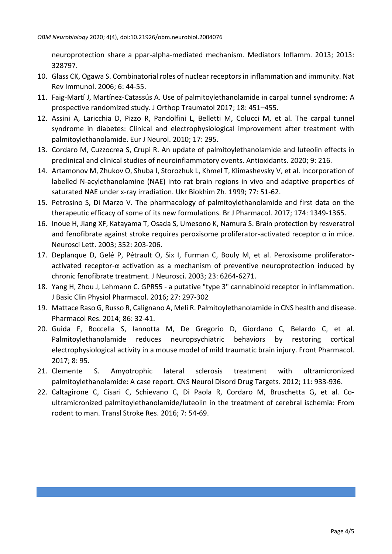neuroprotection share a ppar-alpha-mediated mechanism. Mediators Inflamm. 2013; 2013: 328797.

- 10. Glass CK, Ogawa S. Combinatorial roles of nuclear receptors in inflammation and immunity. Nat Rev Immunol. 2006; 6: 44-55.
- 11. Faig-Martí J, Martínez-Catassús A. Use of palmitoylethanolamide in carpal tunnel syndrome: A prospective randomized study. J Orthop Traumatol 2017; 18: 451–455.
- 12. Assini A, Laricchia D, Pizzo R, Pandolfini L, Belletti M, Colucci M, et al. The carpal tunnel syndrome in diabetes: Clinical and electrophysiological improvement after treatment with palmitoylethanolamide. Eur J Neurol. 2010; 17: 295.
- 13. Cordaro M, Cuzzocrea S, Crupi R. An update of palmitoylethanolamide and luteolin effects in preclinical and clinical studies of neuroinflammatory events. Antioxidants. 2020; 9: 216.
- 14. Artamonov M, Zhukov O, Shuba I, Storozhuk L, Khmel T, Klimashevsky V, et al. Incorporation of labelled N-acylethanolamine (NAE) into rat brain regions in vivo and adaptive properties of saturated NAE under x‐ray irradiation. Ukr Biokhim Zh. 1999; 77: 51-62.
- 15. Petrosino S, Di Marzo V. The pharmacology of palmitoylethanolamide and first data on the therapeutic efficacy of some of its new formulations. Br J Pharmacol. 2017; 174: 1349-1365.
- 16. Inoue H, Jiang XF, Katayama T, Osada S, Umesono K, Namura S. Brain protection by resveratrol and fenofibrate against stroke requires peroxisome proliferator-activated receptor  $\alpha$  in mice. Neurosci Lett. 2003; 352: 203-206.
- 17. Deplanque D, Gelé P, Pétrault O, Six I, Furman C, Bouly M, et al. Peroxisome proliferatoractivated receptor-α activation as a mechanism of preventive neuroprotection induced by chronic fenofibrate treatment. J Neurosci. 2003; 23: 6264-6271.
- 18. Yang H, Zhou J, Lehmann C. GPR55 ‐ a putative "type 3" cannabinoid receptor in inflammation. J Basic Clin Physiol Pharmacol. 2016; 27: 297-302
- 19. Mattace Raso G, Russo R, Calignano A, Meli R. Palmitoylethanolamide in CNS health and disease. Pharmacol Res. 2014; 86: 32-41.
- 20. Guida F, Boccella S, Iannotta M, De Gregorio D, Giordano C, Belardo C, et al. Palmitoylethanolamide reduces neuropsychiatric behaviors by restoring cortical electrophysiological activity in a mouse model of mild traumatic brain injury. Front Pharmacol. 2017; 8: 95.
- 21. Clemente S. Amyotrophic lateral sclerosis treatment with ultramicronized palmitoylethanolamide: A case report. CNS Neurol Disord Drug Targets. 2012; 11: 933-936.
- 22. Caltagirone C, Cisari C, Schievano C, Di Paola R, Cordaro M, Bruschetta G, et al. Co‐ ultramicronized palmitoylethanolamide/luteolin in the treatment of cerebral ischemia: From rodent to man. Transl Stroke Res. 2016; 7: 54-69.